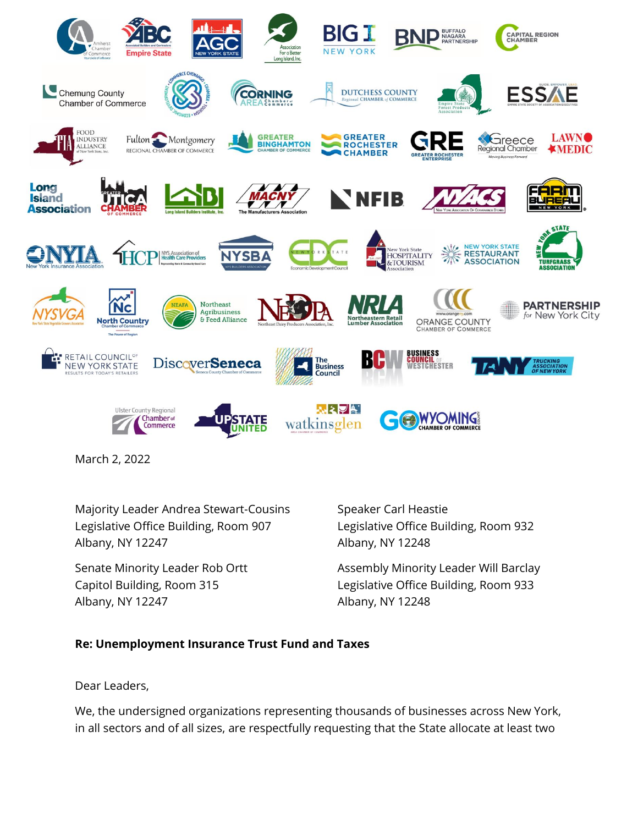

March 2, 2022

Majority Leader Andrea Stewart-Cousins Speaker Carl Heastie Legislative Office Building, Room 907 Legislative Office Building, Room 932 Albany, NY 12247 Albany, NY 12248

Albany, NY 12247 Albany, NY 12248

Senate Minority Leader Rob Ortt Assembly Minority Leader Will Barclay Capitol Building, Room 315 Legislative Office Building, Room 933

## **Re: Unemployment Insurance Trust Fund and Taxes**

Dear Leaders,

We, the undersigned organizations representing thousands of businesses across New York, in all sectors and of all sizes, are respectfully requesting that the State allocate at least two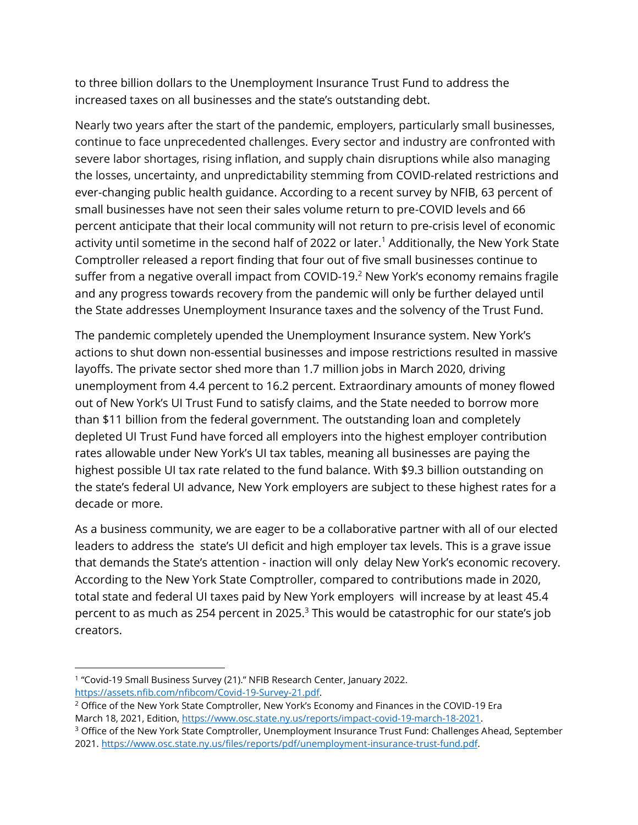to three billion dollars to the Unemployment Insurance Trust Fund to address the increased taxes on all businesses and the state's outstanding debt.

Nearly two years after the start of the pandemic, employers, particularly small businesses, continue to face unprecedented challenges. Every sector and industry are confronted with severe labor shortages, rising inflation, and supply chain disruptions while also managing the losses, uncertainty, and unpredictability stemming from COVID-related restrictions and ever-changing public health guidance. According to a recent survey by NFIB, 63 percent of small businesses have not seen their sales volume return to pre-COVID levels and 66 percent anticipate that their local community will not return to pre-crisis level of economic activity until sometime in the second half of 2022 or later.<sup>1</sup> Additionally, the New York State Comptroller released a report finding that four out of five small businesses continue to suffer from a negative overall impact from COVID-19. $<sup>2</sup>$  New York's economy remains fragile</sup> and any progress towards recovery from the pandemic will only be further delayed until the State addresses Unemployment Insurance taxes and the solvency of the Trust Fund.

The pandemic completely upended the Unemployment Insurance system. New York's actions to shut down non-essential businesses and impose restrictions resulted in massive layoffs. The private sector shed more than 1.7 million jobs in March 2020, driving unemployment from 4.4 percent to 16.2 percent. Extraordinary amounts of money flowed out of New York's UI Trust Fund to satisfy claims, and the State needed to borrow more than \$11 billion from the federal government. The outstanding loan and completely depleted UI Trust Fund have forced all employers into the highest employer contribution rates allowable under New York's UI tax tables, meaning all businesses are paying the highest possible UI tax rate related to the fund balance. With \$9.3 billion outstanding on the state's federal UI advance, New York employers are subject to these highest rates for a decade or more.

As a business community, we are eager to be a collaborative partner with all of our elected leaders to address the state's UI deficit and high employer tax levels. This is a grave issue that demands the State's attention - inaction will only delay New York's economic recovery. According to the New York State Comptroller, compared to contributions made in 2020, total state and federal UI taxes paid by New York employers will increase by at least 45.4 percent to as much as 254 percent in 2025. $3$  This would be catastrophic for our state's job creators.

<sup>&</sup>lt;sup>1</sup> "Covid-19 Small Business Survey (21)." NFIB Research Center, January 2022. [https://assets.nfib.com/nfibcom/Covid-19-Survey-21.pdf.](https://assets.nfib.com/nfibcom/Covid-19-Survey-21.pdf)

<sup>&</sup>lt;sup>2</sup> Office of the New York State Comptroller, New York's Economy and Finances in the COVID-19 Era March 18, 2021, Edition[, https://www.osc.state.ny.us/reports/impact-covid-19-march-18-2021.](https://www.osc.state.ny.us/reports/impact-covid-19-march-18-2021)

<sup>3</sup> Office of the New York State Comptroller, Unemployment Insurance Trust Fund: Challenges Ahead, September 2021[. https://www.osc.state.ny.us/files/reports/pdf/unemployment-insurance-trust-fund.pdf.](https://www.osc.state.ny.us/files/reports/pdf/unemployment-insurance-trust-fund.pdf)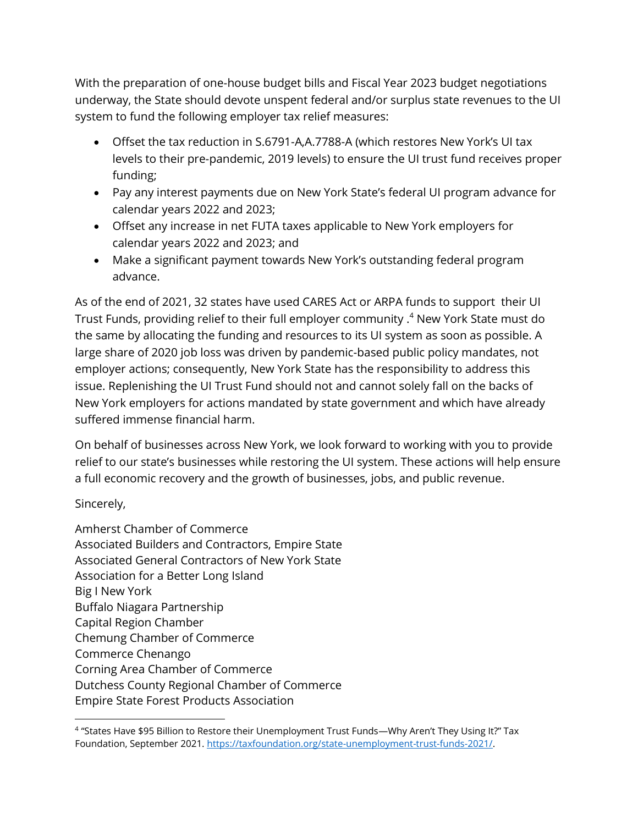With the preparation of one-house budget bills and Fiscal Year 2023 budget negotiations underway, the State should devote unspent federal and/or surplus state revenues to the UI system to fund the following employer tax relief measures:

- Offset the tax reduction in S.6791-A,A.7788-A (which restores New York's UI tax levels to their pre-pandemic, 2019 levels) to ensure the UI trust fund receives proper funding;
- Pay any interest payments due on New York State's federal UI program advance for calendar years 2022 and 2023;
- Offset any increase in net FUTA taxes applicable to New York employers for calendar years 2022 and 2023; and
- Make a significant payment towards New York's outstanding federal program advance.

As of the end of 2021, 32 states have used CARES Act or ARPA funds to support their UI Trust Funds, providing relief to their full employer community . <sup>4</sup> New York State must do the same by allocating the funding and resources to its UI system as soon as possible. A large share of 2020 job loss was driven by pandemic-based public policy mandates, not employer actions; consequently, New York State has the responsibility to address this issue. Replenishing the UI Trust Fund should not and cannot solely fall on the backs of New York employers for actions mandated by state government and which have already suffered immense financial harm.

On behalf of businesses across New York, we look forward to working with you to provide relief to our state's businesses while restoring the UI system. These actions will help ensure a full economic recovery and the growth of businesses, jobs, and public revenue.

Sincerely,

Amherst Chamber of Commerce Associated Builders and Contractors, Empire State Associated General Contractors of New York State Association for a Better Long Island Big I New York Buffalo Niagara Partnership Capital Region Chamber Chemung Chamber of Commerce Commerce Chenango Corning Area Chamber of Commerce Dutchess County Regional Chamber of Commerce Empire State Forest Products Association

<sup>4</sup> "States Have \$95 Billion to Restore their Unemployment Trust Funds—Why Aren't They Using It?" Tax Foundation, September 2021[. https://taxfoundation.org/state-unemployment-trust-funds-2021/.](https://taxfoundation.org/state-unemployment-trust-funds-2021/)